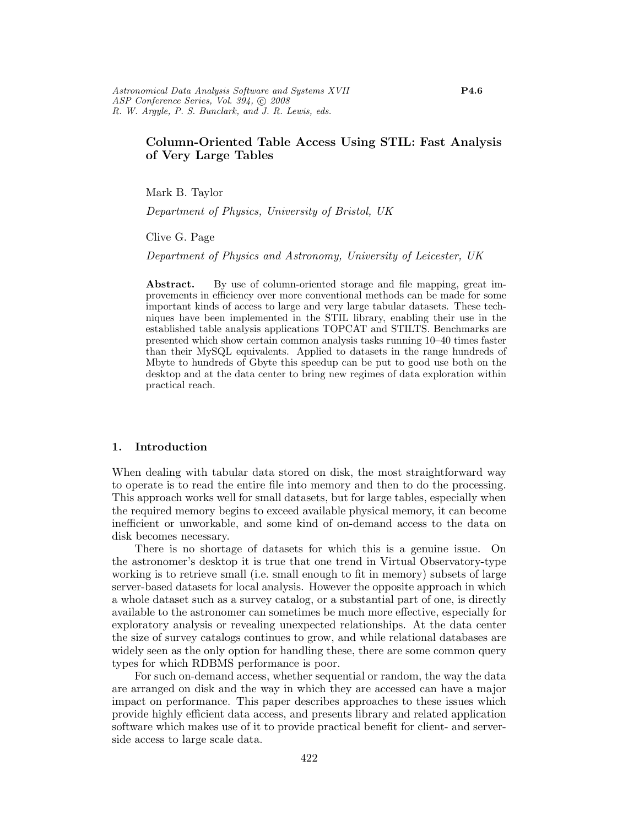# Column-Oriented Table Access Using STIL: Fast Analysis of Very Large Tables

Mark B. Taylor

Department of Physics, University of Bristol, UK

Clive G. Page

Department of Physics and Astronomy, University of Leicester, UK

Abstract. By use of column-oriented storage and file mapping, great improvements in efficiency over more conventional methods can be made for some important kinds of access to large and very large tabular datasets. These techniques have been implemented in the STIL library, enabling their use in the established table analysis applications TOPCAT and STILTS. Benchmarks are presented which show certain common analysis tasks running 10–40 times faster than their MySQL equivalents. Applied to datasets in the range hundreds of Mbyte to hundreds of Gbyte this speedup can be put to good use both on the desktop and at the data center to bring new regimes of data exploration within practical reach.

# 1. Introduction

When dealing with tabular data stored on disk, the most straightforward way to operate is to read the entire file into memory and then to do the processing. This approach works well for small datasets, but for large tables, especially when the required memory begins to exceed available physical memory, it can become inefficient or unworkable, and some kind of on-demand access to the data on disk becomes necessary.

There is no shortage of datasets for which this is a genuine issue. On the astronomer's desktop it is true that one trend in Virtual Observatory-type working is to retrieve small (i.e. small enough to fit in memory) subsets of large server-based datasets for local analysis. However the opposite approach in which a whole dataset such as a survey catalog, or a substantial part of one, is directly available to the astronomer can sometimes be much more effective, especially for exploratory analysis or revealing unexpected relationships. At the data center the size of survey catalogs continues to grow, and while relational databases are widely seen as the only option for handling these, there are some common query types for which RDBMS performance is poor.

For such on-demand access, whether sequential or random, the way the data are arranged on disk and the way in which they are accessed can have a major impact on performance. This paper describes approaches to these issues which provide highly efficient data access, and presents library and related application software which makes use of it to provide practical benefit for client- and serverside access to large scale data.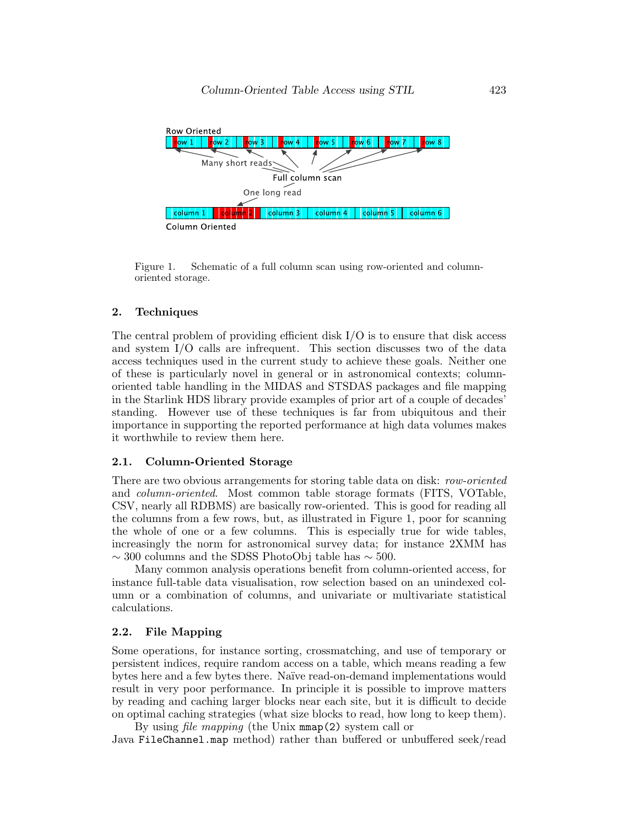

Figure 1. Schematic of a full column scan using row-oriented and columnoriented storage.

#### 2. Techniques

The central problem of providing efficient disk  $I/O$  is to ensure that disk access and system I/O calls are infrequent. This section discusses two of the data access techniques used in the current study to achieve these goals. Neither one of these is particularly novel in general or in astronomical contexts; columnoriented table handling in the MIDAS and STSDAS packages and file mapping in the Starlink HDS library provide examples of prior art of a couple of decades' standing. However use of these techniques is far from ubiquitous and their importance in supporting the reported performance at high data volumes makes it worthwhile to review them here.

#### 2.1. Column-Oriented Storage

There are two obvious arrangements for storing table data on disk: row-oriented and column-oriented. Most common table storage formats (FITS, VOTable, CSV, nearly all RDBMS) are basically row-oriented. This is good for reading all the columns from a few rows, but, as illustrated in Figure 1, poor for scanning the whole of one or a few columns. This is especially true for wide tables, increasingly the norm for astronomical survey data; for instance 2XMM has  $\sim$  300 columns and the SDSS PhotoObj table has  $\sim$  500.

Many common analysis operations benefit from column-oriented access, for instance full-table data visualisation, row selection based on an unindexed column or a combination of columns, and univariate or multivariate statistical calculations.

### 2.2. File Mapping

Some operations, for instance sorting, crossmatching, and use of temporary or persistent indices, require random access on a table, which means reading a few bytes here and a few bytes there. Na¨ıve read-on-demand implementations would result in very poor performance. In principle it is possible to improve matters by reading and caching larger blocks near each site, but it is difficult to decide on optimal caching strategies (what size blocks to read, how long to keep them).

By using file mapping (the Unix mmap(2) system call or Java FileChannel.map method) rather than buffered or unbuffered seek/read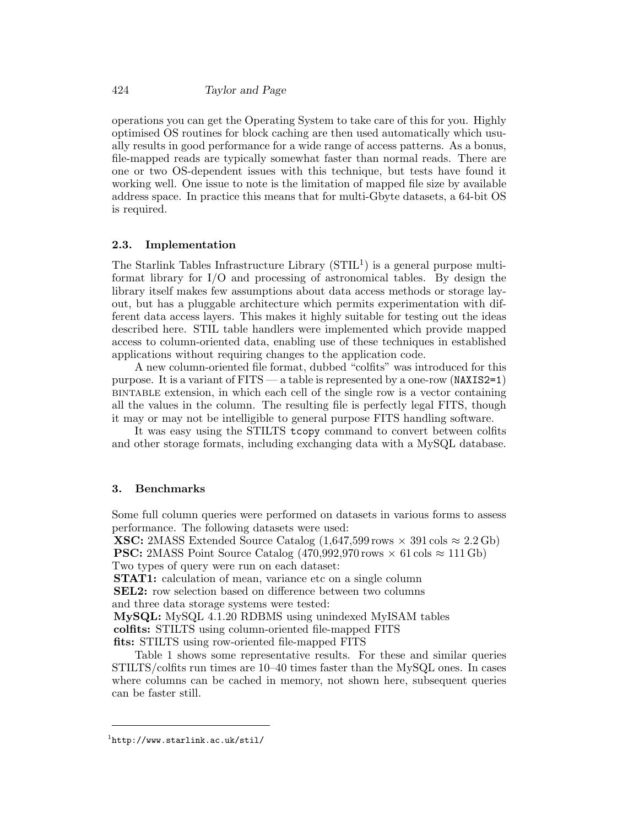operations you can get the Operating System to take care of this for you. Highly optimised OS routines for block caching are then used automatically which usually results in good performance for a wide range of access patterns. As a bonus, file-mapped reads are typically somewhat faster than normal reads. There are one or two OS-dependent issues with this technique, but tests have found it working well. One issue to note is the limitation of mapped file size by available address space. In practice this means that for multi-Gbyte datasets, a 64-bit OS is required.

#### 2.3. Implementation

The Starlink Tables Infrastructure Library  $(STIL<sup>1</sup>)$  is a general purpose multiformat library for I/O and processing of astronomical tables. By design the library itself makes few assumptions about data access methods or storage layout, but has a pluggable architecture which permits experimentation with different data access layers. This makes it highly suitable for testing out the ideas described here. STIL table handlers were implemented which provide mapped access to column-oriented data, enabling use of these techniques in established applications without requiring changes to the application code.

A new column-oriented file format, dubbed "colfits" was introduced for this purpose. It is a variant of FITS — a table is represented by a one-row (NAXIS2=1) bintable extension, in which each cell of the single row is a vector containing all the values in the column. The resulting file is perfectly legal FITS, though it may or may not be intelligible to general purpose FITS handling software.

It was easy using the STILTS tcopy command to convert between colfits and other storage formats, including exchanging data with a MySQL database.

# 3. Benchmarks

Some full column queries were performed on datasets in various forms to assess performance. The following datasets were used:

**XSC:** 2MASS Extended Source Catalog  $(1.647,599 \text{ rows} \times 391 \text{ coils} \approx 2.2 \text{ Gb})$ **PSC:** 2MASS Point Source Catalog  $(470.992.970 \text{ rows} \times 61 \text{ obs} \approx 111 \text{ Gb})$ Two types of query were run on each dataset:

STAT1: calculation of mean, variance etc on a single column

SEL2: row selection based on difference between two columns

and three data storage systems were tested:

MySQL: MySQL 4.1.20 RDBMS using unindexed MyISAM tables

colfits: STILTS using column-oriented file-mapped FITS

fits: STILTS using row-oriented file-mapped FITS

Table 1 shows some representative results. For these and similar queries STILTS/colfits run times are 10–40 times faster than the MySQL ones. In cases where columns can be cached in memory, not shown here, subsequent queries can be faster still.

 $\frac{1}{1}$ http://www.starlink.ac.uk/stil/